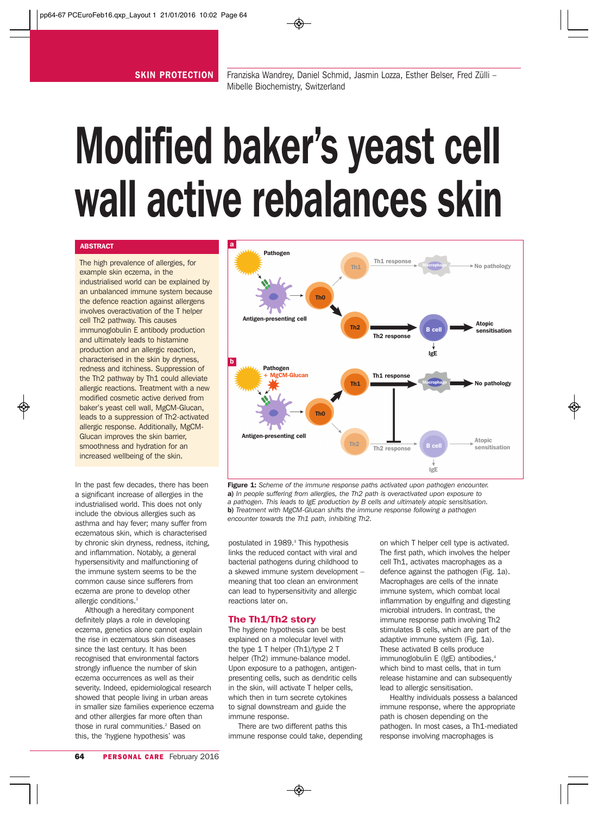# Modified baker's yeast cell wall active rebalances skin

# **ABSTRACT**

The high prevalence of allergies, for example skin eczema, in the industrialised world can be explained by an unbalanced immune system because the defence reaction against allergens involves overactivation of the T helper cell Th2 pathway. This causes immunoglobulin E antibody production and ultimately leads to histamine production and an allergic reaction, characterised in the skin by dryness, redness and itchiness. Suppression of the Th2 pathway by Th1 could alleviate allergic reactions. Treatment with a new modified cosmetic active derived from baker's yeast cell wall, MgCM-Glucan, leads to a suppression of Th2-activated allergic response. Additionally, MgCM-Glucan improves the skin barrier, smoothness and hydration for an increased wellbeing of the skin.

In the past few decades, there has been a significant increase of allergies in the industrialised world. This does not only include the obvious allergies such as asthma and hay fever; many suffer from eczematous skin, which is characterised by chronic skin dryness, redness, itching, and inflammation. Notably, a general hypersensitivity and malfunctioning of the immune system seems to be the common cause since sufferers from eczema are prone to develop other allergic conditions.<sup>1</sup>

Although a hereditary component definitely plays a role in developing eczema, genetics alone cannot explain the rise in eczematous skin diseases since the last century. It has been recognised that environmental factors strongly influence the number of skin eczema occurrences as well as their severity. Indeed, epidemiological research showed that people living in urban areas in smaller size families experience eczema and other allergies far more often than those in rural communities.<sup>2</sup> Based on this, the 'hygiene hypothesis' was



Figure 1: Scheme of the immune response paths activated upon pathogen encounter. a) *In people suffering from allergies, the Th2 path is overactivated upon exposure to a pathogen. This leads to IgE production by B cells and ultimately atopic sensitisation.*  b) *Treatment with MgCM-Glucan shifts the immune response following a pathogen encounter towards the Th1 path, inhibiting Th2.* 

postulated in 1989.<sup>3</sup> This hypothesis links the reduced contact with viral and bacterial pathogens during childhood to a skewed immune system development – meaning that too clean an environment can lead to hypersensitivity and allergic reactions later on.

## The Th1/Th2 story

The hygiene hypothesis can be best explained on a molecular level with the type 1 T helper (Th1)/type 2 T helper (Th2) immune-balance model. Upon exposure to a pathogen, antigenpresenting cells, such as dendritic cells in the skin, will activate T helper cells, which then in turn secrete cytokines to signal downstream and guide the immune response.

There are two different paths this immune response could take, depending on which T helper cell type is activated. The first path, which involves the helper cell Th1, activates macrophages as a defence against the pathogen (Fig. 1a). Macrophages are cells of the innate immune system, which combat local inflammation by engulfing and digesting microbial intruders. In contrast, the immune response path involving Th2 stimulates B cells, which are part of the adaptive immune system (Fig. 1a). These activated B cells produce immunoglobulin E (IgE) antibodies,<sup>4</sup> which bind to mast cells, that in turn release histamine and can subsequently lead to allergic sensitisation.

Healthy individuals possess a balanced immune response, where the appropriate path is chosen depending on the pathogen. In most cases, a Th1-mediated response involving macrophages is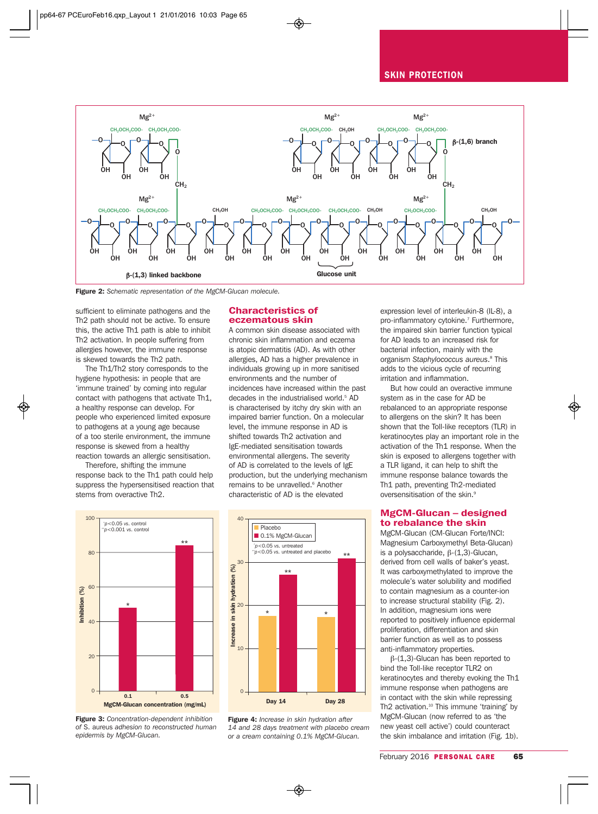#### SKIN PROTECTION



Figure 2: *Schematic representation of the MgCM-Glucan molecule.*

sufficient to eliminate pathogens and the Th2 path should not be active. To ensure this, the active Th1 path is able to inhibit Th2 activation. In people suffering from allergies however, the immune response is skewed towards the Th2 path.

The Th1/Th2 story corresponds to the hygiene hypothesis: in people that are 'immune trained' by coming into regular contact with pathogens that activate Th1, a healthy response can develop. For people who experienced limited exposure to pathogens at a young age because of a too sterile environment, the immune response is skewed from a healthy reaction towards an allergic sensitisation.

Therefore, shifting the immune response back to the Th1 path could help suppress the hypersensitised reaction that stems from overactive Th2.

#### Characteristics of eczematous skin

A common skin disease associated with chronic skin inflammation and eczema is atopic dermatitis (AD). As with other allergies, AD has a higher prevalence in individuals growing up in more sanitised environments and the number of incidences have increased within the past decades in the industrialised world.<sup>5</sup> AD is characterised by itchy dry skin with an impaired barrier function. On a molecular level, the immune response in AD is shifted towards Th2 activation and IgE-mediated sensitisation towards environmental allergens. The severity of AD is correlated to the levels of IgE production, but the underlying mechanism remains to be unravelled.<sup>6</sup> Another characteristic of AD is the elevated



Figure 3: *Concentration-dependent inhibition of* S. aureus *adhesion to reconstructed human epidermis by MgCM-Glucan.*



Figure 4: *Increase in skin hydration after 14 and 28 days treatment with placebo cream or a cream containing 0.1% MgCM-Glucan.*

expression level of interleukin-8 (IL-8), a pro-inflammatory cytokine.<sup>7</sup> Furthermore, the impaired skin barrier function typical for AD leads to an increased risk for bacterial infection, mainly with the organism *Staphylococcus aureus*. <sup>8</sup> This adds to the vicious cycle of recurring irritation and inflammation.

But how could an overactive immune system as in the case for AD be rebalanced to an appropriate response to allergens on the skin? It has been shown that the Toll-like receptors (TLR) in keratinocytes play an important role in the activation of the Th1 response. When the skin is exposed to allergens together with a TLR ligand, it can help to shift the immune response balance towards the Th1 path, preventing Th2-mediated oversensitisation of the skin.<sup>9</sup>

#### MgCM-Glucan – designed to rebalance the skin

MgCM-Glucan (CM-Glucan Forte/INCI: Magnesium Carboxymethyl Beta-Glucan) is a polysaccharide,  $β-(1,3)$ -Glucan, derived from cell walls of baker's yeast. It was carboxymethylated to improve the molecule's water solubility and modified to contain magnesium as a counter-ion to increase structural stability (Fig. 2). In addition, magnesium ions were reported to positively influence epidermal proliferation, differentiation and skin barrier function as well as to possess anti-inflammatory properties.

β-(1,3)-Glucan has been reported to bind the Toll-like receptor TLR2 on keratinocytes and thereby evoking the Th1 immune response when pathogens are in contact with the skin while repressing Th2 activation.<sup>10</sup> This immune 'training' by MgCM-Glucan (now referred to as 'the new yeast cell active') could counteract the skin imbalance and irritation (Fig. 1b).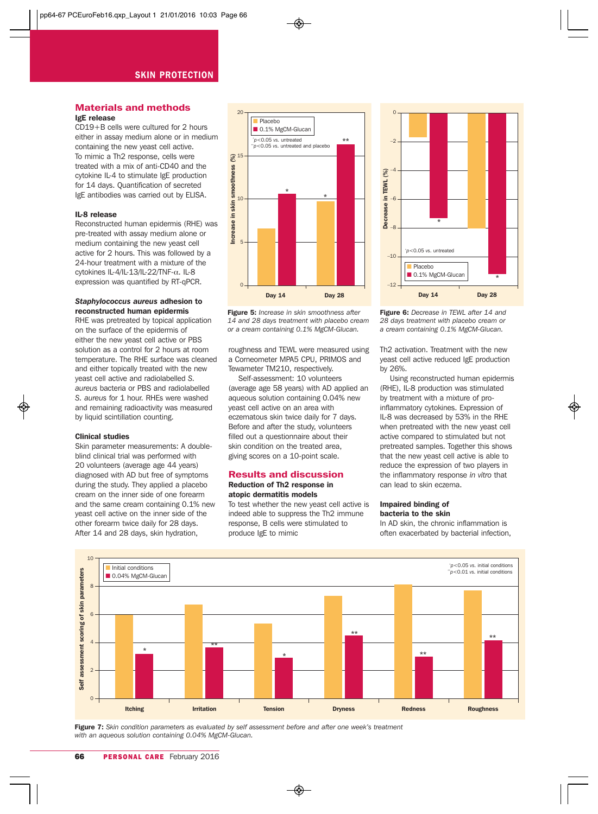## Materials and methods IgE release

CD19+B cells were cultured for 2 hours either in assay medium alone or in medium containing the new yeast cell active. To mimic a Th2 response, cells were treated with a mix of anti-CD40 and the cytokine IL-4 to stimulate IgE production for 14 days. Quantification of secreted IgE antibodies was carried out by ELISA.

#### IL-8 release

Reconstructed human epidermis (RHE) was pre-treated with assay medium alone or medium containing the new yeast cell active for 2 hours. This was followed by a 24-hour treatment with a mixture of the cytokines IL-4/IL-13/IL-22/TNF-α. IL-8 expression was quantified by RT-qPCR.

## *Staphylococcus aureus* adhesion to reconstructed human epidermis

RHE was pretreated by topical application on the surface of the epidermis of either the new yeast cell active or PBS solution as a control for 2 hours at room temperature. The RHE surface was cleaned and either topically treated with the new yeast cell active and radiolabelled *S. aureus* bacteria or PBS and radiolabelled *S. aureus* for 1 hour. RHEs were washed and remaining radioactivity was measured by liquid scintillation counting.

#### Clinical studies

Skin parameter measurements: A doubleblind clinical trial was performed with 20 volunteers (average age 44 years) diagnosed with AD but free of symptoms during the study. They applied a placebo cream on the inner side of one forearm and the same cream containing 0.1% new yeast cell active on the inner side of the other forearm twice daily for 28 days. After 14 and 28 days, skin hydration,





roughness and TEWL were measured using a Corneometer MPA5 CPU, PRIMOS and Tewameter TM210, respectively.

Self-assessment: 10 volunteers (average age 58 years) with AD applied an aqueous solution containing 0.04% new yeast cell active on an area with eczematous skin twice daily for 7 days. Before and after the study, volunteers filled out a questionnaire about their skin condition on the treated area, giving scores on a 10-point scale.

#### Results and discussion Reduction of Th2 response in atopic dermatitis models

To test whether the new yeast cell active is indeed able to suppress the Th2 immune response, B cells were stimulated to produce IgE to mimic



Figure 6: *Decrease in TEWL after 14 and 28 days treatment with placebo cream or a cream containing 0.1% MgCM-Glucan.*

Th2 activation. Treatment with the new yeast cell active reduced IgE production by 26%.

Using reconstructed human epidermis (RHE), IL-8 production was stimulated by treatment with a mixture of proinflammatory cytokines. Expression of IL-8 was decreased by 53% in the RHE when pretreated with the new yeast cell active compared to stimulated but not pretreated samples. Together this shows that the new yeast cell active is able to reduce the expression of two players in the inflammatory response *in vitro* that can lead to skin eczema.

## Impaired binding of bacteria to the skin

In AD skin, the chronic inflammation is often exacerbated by bacterial infection,



Figure 7: *Skin condition parameters as evaluated by self assessment before and after one week's treatment with an aqueous solution containing 0.04% MgCM-Glucan.*